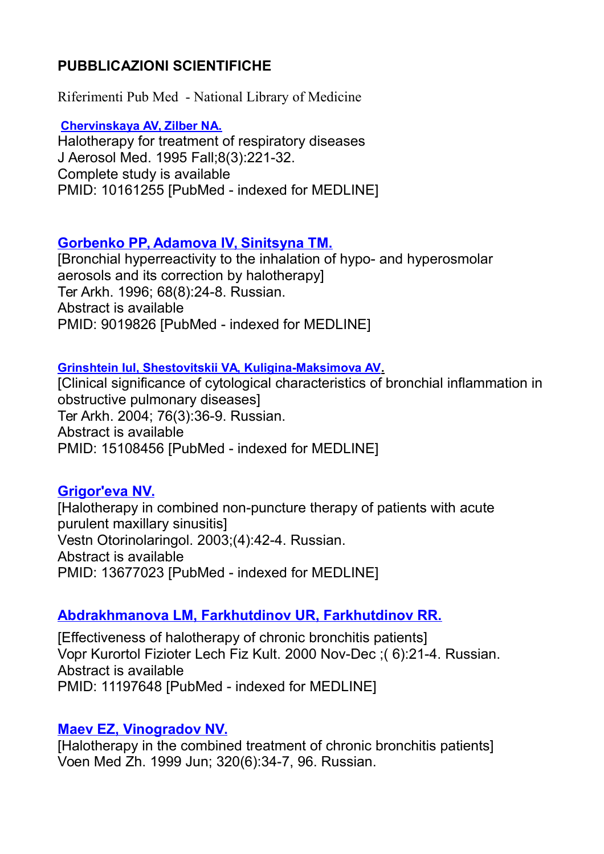# **PUBBLICAZIONI SCIENTIFICHE**

Riferimenti Pub Med - National Library of Medicine

#### **[Chervinskaya AV, Zilber NA.](http://www.ncbi.nlm.nih.gov/sites/entrez?Db=pubmed&Cmd=ShowDetailView&TermToSearch=10161255&ordinalpos=10&itool=EntrezSystem2.PEntrez.Pubmed.Pubmed_ResultsPanel.Pubmed_RVDocSum)**

Halotherapy for treatment of respiratory diseases J Aerosol Med. 1995 Fall;8(3):221-32. Complete study is available PMID: 10161255 [PubMed - indexed for MEDLINE]

# **[Gorbenko PP, Adamova IV, Sinitsyna TM.](http://www.ncbi.nlm.nih.gov/sites/entrez?Db=pubmed&Cmd=ShowDetailView&TermToSearch=9019826&ordinalpos=11&itool=EntrezSystem2.PEntrez.Pubmed.Pubmed_ResultsPanel.Pubmed_RVDocSum)**

[Bronchial hyperreactivity to the inhalation of hypo- and hyperosmolar aerosols and its correction by halotherapy] Ter Arkh. 1996; 68(8):24-8. Russian. Abstract is available PMID: 9019826 [PubMed - indexed for MEDLINE]

#### **[Grinshtein IuI, Shestovitskii VA, Kuligina-Maksimova AV.](http://www.ncbi.nlm.nih.gov/sites/entrez?Db=pubmed&Cmd=ShowDetailView&TermToSearch=15108456&ordinalpos=2&itool=EntrezSystem2.PEntrez.Pubmed.Pubmed_ResultsPanel.Pubmed_RVDocSum)**

[Clinical significance of cytological characteristics of bronchial inflammation in obstructive pulmonary diseases] Ter Arkh. 2004; 76(3):36-9. Russian. Abstract is available PMID: 15108456 [PubMed - indexed for MEDLINE]

### **[Grigor'eva NV.](http://www.ncbi.nlm.nih.gov/sites/entrez?Db=pubmed&Cmd=ShowDetailView&TermToSearch=13677023&ordinalpos=3&itool=EntrezSystem2.PEntrez.Pubmed.Pubmed_ResultsPanel.Pubmed_RVDocSum)**

[Halotherapy in combined non-puncture therapy of patients with acute purulent maxillary sinusitis] Vestn Otorinolaringol. 2003;(4):42-4. Russian. Abstract is available PMID: 13677023 [PubMed - indexed for MEDLINE]

# **[Abdrakhmanova LM, Farkhutdinov UR, Farkhutdinov RR.](http://www.ncbi.nlm.nih.gov/sites/entrez?Db=pubmed&Cmd=ShowDetailView&TermToSearch=11197648&ordinalpos=6&itool=EntrezSystem2.PEntrez.Pubmed.Pubmed_ResultsPanel.Pubmed_RVDocSum)**

[Effectiveness of halotherapy of chronic bronchitis patients] Vopr Kurortol Fizioter Lech Fiz Kult. 2000 Nov-Dec ;( 6):21-4. Russian. Abstract is available PMID: 11197648 [PubMed - indexed for MEDLINE]

### **[Maev EZ, Vinogradov NV.](http://www.ncbi.nlm.nih.gov/sites/entrez?Db=pubmed&Cmd=ShowDetailView&TermToSearch=10439712&ordinalpos=8&itool=EntrezSystem2.PEntrez.Pubmed.Pubmed_ResultsPanel.Pubmed_RVDocSum)**

[Halotherapy in the combined treatment of chronic bronchitis patients] Voen Med Zh. 1999 Jun; 320(6):34-7, 96. Russian.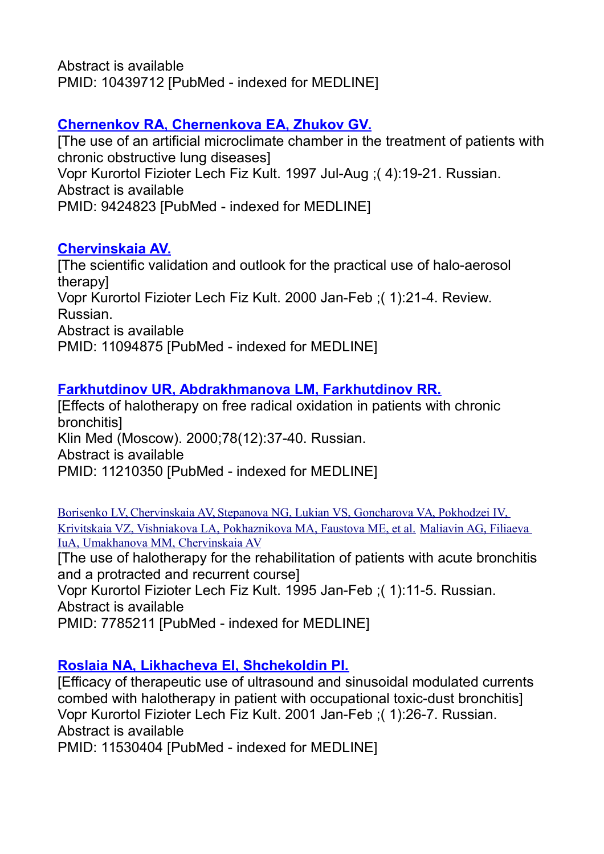Abstract is available PMID: 10439712 [PubMed - indexed for MEDLINE]

# **[Chernenkov RA, Chernenkova EA, Zhukov GV.](http://www.ncbi.nlm.nih.gov/sites/entrez?Db=pubmed&Cmd=ShowDetailView&TermToSearch=9424823&ordinalpos=9&itool=EntrezSystem2.PEntrez.Pubmed.Pubmed_ResultsPanel.Pubmed_RVDocSum)**

[The use of an artificial microclimate chamber in the treatment of patients with chronic obstructive lung diseases] Vopr Kurortol Fizioter Lech Fiz Kult. 1997 Jul-Aug ;( 4):19-21. Russian. Abstract is available PMID: 9424823 [PubMed - indexed for MEDLINE]

### **[Chervinskaia AV.](http://www.ncbi.nlm.nih.gov/sites/entrez?Db=pubmed&Cmd=ShowDetailView&TermToSearch=11094875&ordinalpos=7&itool=EntrezSystem2.PEntrez.Pubmed.Pubmed_ResultsPanel.Pubmed_RVDocSum)**

[The scientific validation and outlook for the practical use of halo-aerosol therapy] Vopr Kurortol Fizioter Lech Fiz Kult. 2000 Jan-Feb ;( 1):21-4. Review. Russian. Abstract is available PMID: 11094875 [PubMed - indexed for MEDLINE]

# **[Farkhutdinov UR, Abdrakhmanova LM, Farkhutdinov RR.](http://www.ncbi.nlm.nih.gov/sites/entrez?Db=pubmed&Cmd=ShowDetailView&TermToSearch=11210350&ordinalpos=5&itool=EntrezSystem2.PEntrez.Pubmed.Pubmed_ResultsPanel.Pubmed_RVDocSum)**

[Effects of halotherapy on free radical oxidation in patients with chronic bronchitis] Klin Med (Moscow). 2000;78(12):37-40. Russian. Abstract is available PMID: 11210350 [PubMed - indexed for MEDLINE]

[Borisenko LV, Chervinskaia AV, Stepanova NG, Lukian VS, Goncharova VA, Pokhodzei IV,](http://www.ncbi.nlm.nih.gov/sites/entrez?Db=pubmed&Cmd=ShowDetailView&TermToSearch=7785211&ordinalpos=12&itool=EntrezSystem2.PEntrez.Pubmed.Pubmed_ResultsPanel.Pubmed_RVDocSum)  [Krivitskaia VZ, Vishniakova LA, Pokhaznikova MA, Faustova ME, et al.](http://www.ncbi.nlm.nih.gov/sites/entrez?Db=pubmed&Cmd=ShowDetailView&TermToSearch=7785211&ordinalpos=12&itool=EntrezSystem2.PEntrez.Pubmed.Pubmed_ResultsPanel.Pubmed_RVDocSum) [Maliavin AG, Filiaeva](http://www.ncbi.nlm.nih.gov/sites/entrez?Db=pubmed&Cmd=ShowDetailView&TermToSearch=15216790&ordinalpos=1&itool=EntrezSystem2.PEntrez.Pubmed.Pubmed_ResultsPanel.Pubmed_RVDocSum)  [IuA, Umakhanova MM, Chervinskaia AV](http://www.ncbi.nlm.nih.gov/sites/entrez?Db=pubmed&Cmd=ShowDetailView&TermToSearch=15216790&ordinalpos=1&itool=EntrezSystem2.PEntrez.Pubmed.Pubmed_ResultsPanel.Pubmed_RVDocSum)

[The use of halotherapy for the rehabilitation of patients with acute bronchitis and a protracted and recurrent course]

Vopr Kurortol Fizioter Lech Fiz Kult. 1995 Jan-Feb ;( 1):11-5. Russian. Abstract is available

PMID: 7785211 [PubMed - indexed for MEDLINE]

# **[Roslaia NA, Likhacheva EI, Shchekoldin PI.](http://www.ncbi.nlm.nih.gov/sites/entrez?Db=pubmed&Cmd=ShowDetailView&TermToSearch=11530404&ordinalpos=4&itool=EntrezSystem2.PEntrez.Pubmed.Pubmed_ResultsPanel.Pubmed_RVDocSum)**

[Efficacy of therapeutic use of ultrasound and sinusoidal modulated currents combed with halotherapy in patient with occupational toxic-dust bronchitis] Vopr Kurortol Fizioter Lech Fiz Kult. 2001 Jan-Feb ;( 1):26-7. Russian. Abstract is available PMID: 11530404 [PubMed - indexed for MEDLINE]